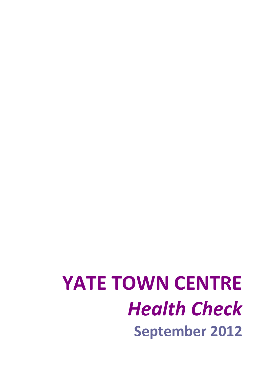# **YATE TOWN CENTRE** *Health Check* **September 2012**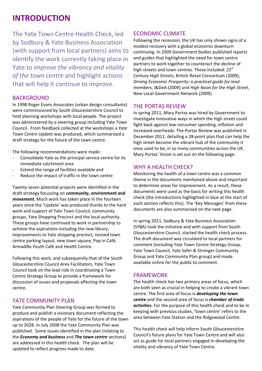### **INTRODUCTION**

The Yate Town Centre Health Check, led by Sodbury & Yate Business Association (with support from local partners) aims to identify the work currently taking place in Yate to *improve the vibrancy and vitality of the town centre* and highlight actions that will help it continue to improve.

### BACKGROUND

In 1998 Roger Evans Associates (urban design consultants) were commissioned by South Gloucestershire Council to hold planning workshops with local people. The project was administered by a steering group including Yate Town Council. From feedback collected at the workshops a *Yate Town Centre Update* was produced, which summarised a draft strategy for the future of the town centre.

The following recommendations were made:

- ‐ Consolidate Yate as the principal service centre for its immediate catchment area
- ‐ Extend the range of facilities available and
- Reduce the impact of traffic in the town centre

Twenty seven potential projects were identified in the draft strategy focussing on *community***,** *environment* **and** *movement*. Much work has taken place in the fourteen years since the 'Update' was produced thanks to the hard work and support of Yate Town Council, community groups, Yate Shopping Precinct and the local authority. These groups have continued to work in partnership to achieve the aspirations including the new library, improvements to Yate shopping precinct, revised town centre parking layout, new town square, Pop in Café, Armadillo Youth Café and Health Centre.

Following this work, and subsequently that of the South Gloucestershire Council Area Facilitators, Yate Town Council took on the lead role in coordinating a Town Centre Strategy Group to provide a framework for discussion of issues and proposals affecting the town centre.

### YATE COMMUNITY PLAN

Yate Community Plan Steering Group was formed to produce and publish a visionary document reflecting the aspirations of the people of Yate for the future of the town up to 2028. In July 2008 the Yate Community Plan was published. Some issues identified in the plan (relating to the *Economy and business* and *The town centre* sections) are addressed in this health check. The plan will be updated to reflect progress made to date.

### ECONOMIC CLIMATE

Following the recession, the UK has only shown signs of a modest recovery with a global economic downturn continuing. In 2009 Government bodies published reports and guides that highlighted the need for town centre partners to work together to counteract the decline of high streets and town centres. These included: *21st Century High Streets*, British Retail Consortium (2009), *Driving Economic Prosperity: a practical guide for lead members*, I&DeA (2009) and *High Noon for the High Street*, New Local Government Network (2009).

### THE PORTAS REVIEW

In spring 2011, Mary Portas was hired by Government to investigate innovative ways in which the high street could fight back against low consumer spending, inflation and increased overheads. The Portas Review was published in December 2011, detailing a 28‐point plan that can help the high street become the vibrant hub of the community it once used to be, in so many communities across the UK. Mary Portas' Vision is set out on the following page.

### WHY A HEALTH CHECK?

Monitoring the health of a town centre was a common theme in the documents mentioned above and important to determine areas for improvement. As a result, these documents were used as the basis for writing this health check (the introductions highlighted in blue at the start of each section reflects this). The 'Key Messages' from these documents are also summarised on the next page.

In spring 2011, Sodbury & Yate Business Association (SYBA) took the initiative and with support from South Gloucestershire Council, started the health check process. The draft document was circulated to local partners for comment (including Yate Town Centre Strategy Group, Yate Town Council, Yate Safer & Stronger Community Group and Yate Community Plan group) and made available online for the public to comment.

### FRAMEWORK

The health check has two primary areas of focus, which are both seen as crucial in helping to create a vibrant town centre. The first area of focus is *developing the town centre* and the second area of focus is *chamber of trade activities*. For the purpose of this health check and to be in keeping with previous studies, **'**town centre' refers to the area between Yate Station and the Ridgewood Centre.

This health check will help inform South Gloucestershire Council's future plans for Yate Town Centre and will also act as guide for local partners engaged in developing the vitality and vibrancy of Yate Town Centre.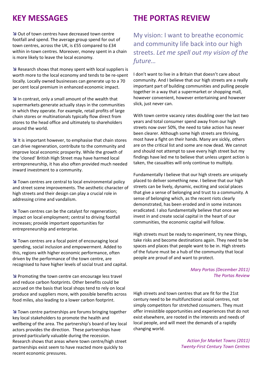Out of town centres have decreased town centre footfall and spend. The average group spend for out of town centres, across the UK, is £55 compared to £34 within in-town centres. Moreover, money spent in a chain is more likely to leave the local economy.

**N** Research shows that money spent with local suppliers is worth more to the local economy and tends to be re‐spent locally. Locally owned businesses can generate up to a 70 per cent local premium in enhanced economic impact.

In contrast, only a small amount of the wealth that supermarkets generate actually stays in the communities in which they operate. For example, retail profits of large chain stores or multinationals typically flow direct from stores to the head office and ultimately to shareholders around the world.

 $\blacktriangleright$  It is important however, to emphasise that chain stores can drive regeneration, contribute to the community and improve local economic prosperity. While the growth of the 'cloned' British High Street may have harmed local entrepreneurship, it has also often provided much needed inward investment to a community.

**N** Town centres are central to local environmental policy and street scene improvements. The aesthetic character of high streets and their design can play a crucial role in addressing crime and vandalism.

**N** Town centres can be the catalyst for regeneration; impact on local employment; central to driving footfall increases; provide important opportunities for entrepreneurship and enterprise.

**N** Town centres are a focal point of encouraging local spending, social inclusion and empowerment. Added to this, regions with higher economic performance, often driven by the performance of the town centre, are recognised to have higher levels of social trust and capital.

**Promoting the town centre can encourage less travel** and reduce carbon footprints. Other benefits could be accrued on the basis that local shops tend to rely on local produce and suppliers more, with possible benefits across food miles, also leading to a lower carbon footprint.

**N** Town centre partnerships are forums bringing together key local stakeholders to promote the health and wellbeing of the area. The partnership's board of key local actors provides the direction. These partnerships have proved particularly valuable during the recession. Research shows that areas where town centre/high street partnerships exist seem to have reacted more quickly to recent economic pressures.

### **KEY MESSAGES THE PORTAS REVIEW**

My vision: I want to breathe economic and community life back into our high streets. *Let me spell out my vision of the future…*

I don't want to live in a Britain that doesn't care about community. And I believe that our high streets are a really important part of building communities and pulling people together in a way that a supermarket or shopping mall, however convenient, however entertaining and however slick, just never can.

With town centre vacancy rates doubling over the last two years and total consumer spend away from our high streets now over 50%, the need to take action has never been clearer. Although some high streets are thriving, most have a fight on their hands. Many are sickly, others are on the critical list and some are now dead. We cannot and should not attempt to save every high street but my findings have led me to believe that unless urgent action is taken, the casualties will only continue to multiply.

Fundamentally I believe that our high streets are uniquely placed to deliver something new. I believe that our high streets can be lively, dynamic, exciting and social places that give a sense of belonging and trust to a community. A sense of belonging which, as the recent riots clearly demonstrated, has been eroded and in some instances eradicated. I also fundamentally believe that once we invest in and create social capital in the heart of our communities, the economic capital will follow.

High streets must be ready to experiment, try new things, take risks and become destinations again. They need to be spaces and places that people want to be in. High streets of the future must be a hub of the community that local people are proud of and want to protect.

### *Mary Portas (December 2011) The Portas Review*

High streets and town centres that are fit for the 21st century need to be multifunctional social centres, not simply competitors for stretched consumers. They must offer irresistible opportunities and experiences that do not exist elsewhere, are rooted in the interests and needs of local people, and will meet the demands of a rapidly changing world.

> *Action for Market Towns (2011) Twenty‐First Century Town Centres*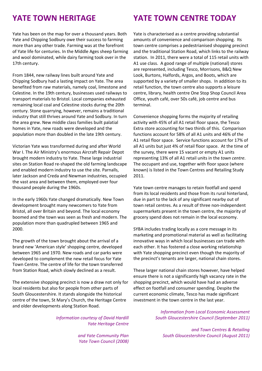Yate has been on the map for over a thousand years. Both Yate and Chipping Sodbury owe their success to farming more than any other trade. Farming was at the forefront of Yate life for centuries. In the Middle Ages sheep farming and wool dominated, while dairy farming took over in the 17th century.

From 1844, new railway lines built around Yate and Chipping Sodbury had a lasting impact on Yate. The area benefited from raw materials, namely coal, limestone and Celestine. In the 19th century, businesses used railways to transport materials to Bristol. Local companies exhausted remaining local coal and Celestine stocks during the 20th century. Stone quarrying, however, remains a traditional industry that still thrives around Yate and Sodbury. In turn the area grew. New middle class families built palatial homes in Yate, new roads were developed and the population more than doubled in the late 19th century.

Victorian Yate was transformed during and after World War I. The Air Ministry's enormous Aircraft Repair Depot brought modern industry to Yate. These large industrial sites on Station Road re‐shaped the old farming landscape and enabled modern industry to use the site. Parnalls, later Jackson and Creda and Newman industries, occupied the vast area and between them, employed over four thousand people during the 1960s.

In the early 1960s Yate changed dramatically. New Town development brought many newcomers to Yate from Bristol, all over Britain and beyond. The local economy boomed and the town was seen as fresh and modern. The population more than quadrupled between 1965 and 2000.

The growth of the town brought about the arrival of a brand new 'American style' shopping centre, developed between 1965 and 1970. New roads and car parks were developed to complement the new retail focus for Yate Town Centre. The centre of life for the town transferred from Station Road, which slowly declined as a result.

The extensive shopping precinct is now a draw not only for local residents but also for people from other parts of South Gloucestershire. It stands alongside the historical centre of the town, St Mary's Church, the Heritage Centre and older developments along Station Road.

> *Information courtesy of David Hardill Yate Heritage Centre*

> > *and Yate Community Plan Yate Town Council (2008)*

### **YATE TOWN HERITAGE YATE TOWN CENTRE TODAY**

Yate is characterised as a centre providing substantial amounts of convenience and comparison shopping. Its town centre comprises a pedestrianised shopping precinct and the traditional Station Road, which links to the railway station. In 2011, there were a total of 115 retail units with A1 use class. A good range of multiple (national) stores are represented, including Tesco, Morrisons, B&Q New Look, Burtons, Halfords, Argos, and Boots, which are supported by a variety of smaller shops. In addition to its retail function, the town centre also supports a leisure centre, library, health centre One Stop Shop Council Area Office, youth café, over 50s café, job centre and bus terminal.

Convenience shopping forms the majority of retailing activity with 45% of all A1 retail floor space, the Tesco Extra store accounting for two thirds of this. Comparison functions account for 58% of all A1 units and 46% of the A1 retail floor space. Service functions account for 17% of all A1 units but just 4% of retail floor space. At the time of the survey, there were 15 vacant or empty A1 units representing 13% of all A1 retail units in the *town centre*. The occupant and use, together with floor space (where known) is listed in the Town Centres and Retailing Study 2011.

Yate town centre manages to retain footfall and spend from its local residents and those from its rural hinterland, due in part to the lack of any significant nearby out of town retail centres. As a result of three non‐independent supermarkets present in the town centre, the majority of grocery spend does not remain in the local economy.

SYBA includes trading locally as a core message in its marketing and promotional material as well as facilitating innovative ways in which local businesses can trade with each other. It has fostered a close working relationship with Yate shopping precinct even though the majority of the precinct's tenants are larger, national chain stores.

These larger national chain stores however, have helped ensure there is not a significantly high vacancy rate in the shopping precinct, which would have had an adverse effect on footfall and consumer spending. Despite the current economic climate, Tesco has made significant investment in the town centre in the last year.

> *Information from Local Economic Assessment South Gloucestershire Council (September 2011)*

*and Town Centres & Retailing South Gloucestershire Council (August 2011)*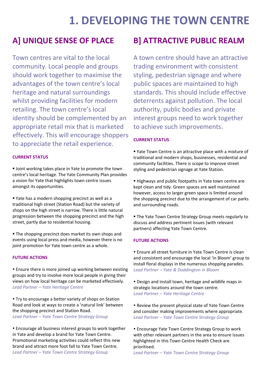## **1. DEVELOPING THE TOWN CENTRE**

Town centres are vital to the local community. Local people and groups should work together to maximise the advantages of the town centre's local heritage and natural surroundings whilst providing facilities for modern retailing. The town centre's local identity should be complemented by an appropriate retail mix that is marketed effectively. This will encourage shoppers to appreciate the retail experience.

### **CURRENT STATUS**

**Joint working takes place in Yate to promote the town** centre's local heritage. The Yate Community Plan provides a vision for Yate that highlights town centre issues amongst its opportunities.

 Yate has a modern shopping precinct as well as a traditional high street (Station Road) but the variety of shops on the high street is narrow. There is little natural progression between the shopping precinct and the high street, partly due to residential housing.

**The shopping precinct does market its own shops and** events using local press and media, however there is no joint promotion for Yate town centre as a whole.

### **FUTURE ACTIONS**

 Ensure there is more joined up working between existing groups and try to involve more local people in giving their views on how local heritage can be marketed effectively. *Lead Partner – Yate Heritage Centre*

 Try to encourage a better variety of shops on Station Road and look at ways to create a 'natural link' between the shopping precinct and Station Road. *Lead Partner – Yate Town Centre Strategy Group*

 Encourage all business interest groups to work together in Yate and develop a brand for Yate Town Centre. Promotional marketing activities could reflect this new brand and attract more foot fall to Yate Town Centre. *Lead Partner – Yate Town Centre Strategy Group*

### **A] UNIQUE SENSE OF PLACE B] ATTRACTIVE PUBLIC REALM**

A town centre should have an attractive trading environment with consistent styling, pedestrian signage and where public spaces are maintained to high standards. This should include effective deterrents against pollution. The local authority, public bodies and private interest groups need to work together to achieve such improvements.

### **CURRENT STATUS**

 Yate Town Centre is an attractive place with a mixture of traditional and modern shops, businesses, residential and community facilities. There is scope to improve street styling and pedestrian signage at Yate Station.

Highways and public footpaths in Yate town centre are kept clean and tidy. Green spaces are well maintained however, access to larger green space is limited around the shopping precinct due to the arrangement of car parks and surrounding roads.

**The Yate Town Centre Strategy Group meets regularly to** discuss and address pertinent issues (with relevant partners) affecting Yate Town Centre.

### **FUTURE ACTIONS**

 Ensure all street furniture in Yate Town Centre is clean and consistent and encourage the local 'in Bloom' group to install floral displays in the numerous shopping parades. *Lead Partner – Yate & Doddington in Bloom*

 Design and install town, heritage and wildlife maps in strategic locations around the town centre. *Lead Partner – Yate Heritage Centre*

• Review the present physical state of Yate Town Centre and consider making improvements where appropriate. *Lead Partner – Yate Town Centre Strategy Group*

 Encourage Yate Town Centre Strategy Group to work with other relevant partners in the area to ensure issues highlighted in this Town Centre Health Check are prioritised.

*Lead Partner – Yate Town Centre Strategy Group*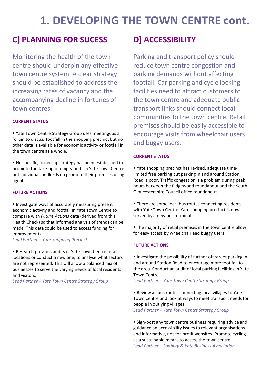## **1. DEVELOPING THE TOWN CENTRE cont.**

### **C] PLANNING FOR SUCESS D] ACCESSIBILITY**

Monitoring the health of the town centre should underpin any effective town centre system. A clear strategy should be established to address the increasing rates of vacancy and the accompanying decline in fortunes of town centres.

### **CURRENT STATUS**

 Yate Town Centre Strategy Group uses meetings as a forum to discuss footfall in the shopping precinct but no other data is available for economic activity or footfall in the town centre as a whole.

■ No specific, joined-up strategy has been established to promote the take‐up of empty units in Yate Town Centre but individual landlords do promote their premises using agents.

#### **FUTURE ACTIONS**

• Investigate ways of accurately measuring present economic activity and footfall in Yate Town Centre to compare with *Future Actions* data (derived from this Health Check) so that informed analysis of trends can be made. This data could be used to access funding for improvements.

*Lead Partner – Yate Shopping Precinct*

 Research previous audits of Yate Town Centre retail locations or conduct a new one, to analyse what sectors are not represented. This will allow a balanced mix of businesses to serve the varying needs of local residents and visitors.

*Lead Partner – Yate Town Centre Strategy Group*

Parking and transport policy should reduce town centre congestion and parking demands without affecting footfall. Car parking and cycle locking facilities need to attract customers to the town centre and adequate public transport links should connect local communities to the town centre. Retail premises should be easily accessible to encourage visits from wheelchair users and buggy users.

#### **CURRENT STATUS**

■ Yate shopping precinct has revised, adequate timelimited free parking but parking in and around Station Road is poor. Traffic congestion is a problem during peak hours between the Ridgewood roundabout and the South Gloucestershire Council office roundabout.

- **There are some local bus routes connecting residents** with Yate Town Centre. Yate shopping precinct is now served by a new bus terminal.
- **The majority of retail premises in the town centre allow** for easy access by wheelchair and buggy users.

### **FUTURE ACTIONS**

• Investigate the possibility of further off-street parking in and around Station Road to encourage more foot fall to the area. Conduct an audit of local parking facilities in Yate Town Centre.

*Lead Partner – Yate Town Centre Strategy Group*

• Review all bus routes connecting local villages to Yate Town Centre and look at ways to meet transport needs for people in outlying villages.

*Lead Partner – Yate Town Centre Strategy Group*

• Sign-post any town centre business requiring advice and guidance on accessibility issues to relevant organisations and informative, not‐for‐profit websites. Promote cycling as a sustainable means to access the town centre. *Lead Partner – Sodbury & Yate Business Association*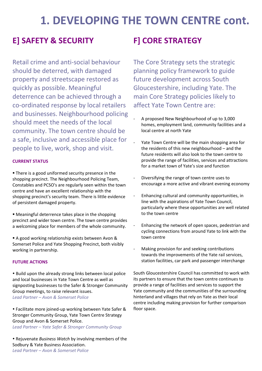## **1. DEVELOPING THE TOWN CENTRE cont.**

### **E] SAFETY & SECURITY F] CORE STRATEGY**

Retail crime and anti‐social behaviour should be deterred, with damaged property and streetscape restored as quickly as possible. Meaningful deterrence can be achieved through a co‐ordinated response by local retailers and businesses. Neighbourhood policing should meet the needs of the local community. The town centre should be a safe, inclusive and accessible place for people to live, work, shop and visit.

#### **CURRENT STATUS**

**There is a good uniformed security presence in the** shopping precinct. The Neighbourhood Policing Team, Constables and PCSO's are regularly seen within the town centre and have an excellent relationship with the shopping precinct's security team. There is little evidence of persistent damaged property.

 Meaningful deterrence takes place in the shopping precinct and wider town centre. The town centre provides a welcoming place for members of the whole community.

A good working relationship exists between Avon & Somerset Police and Yate Shopping Precinct, both visibly working in partnership.

#### **FUTURE ACTIONS**

• Build upon the already strong links between local police and local businesses in Yate Town Centre as well as signposting businesses to the Safer & Stronger Community Group meetings, to raise relevant issues. *Lead Partner – Avon & Somerset Police*

 Facilitate more joined‐up working between Yate Safer & Stronger Community Group, Yate Town Centre Strategy Group and Avon & Somerset Police. *Lead Partner – Yate Safer & Stronger Community Group*

 Rejuvenate *Business Watch* by involving members of the Sodbury & Yate Business Association. *Lead Partner – Avon & Somerset Police*

The Core Strategy sets the strategic planning policy framework to guide future development across South Gloucestershire, including Yate. The main Core Strategy policies likely to affect Yate Town Centre are:

- ‐ A proposed New Neighbourhood of up to 3,000 homes, employment land, community facilities and a local centre at north Yate
- Yate Town Centre will be the main shopping area for the residents of this new neighbourhood – and the future residents will also look to the town centre to provide the range of facilities, services and attractions for a market town of Yate's size and function
- ‐ Diversifying the range of town centre uses to encourage a more active and vibrant evening economy
- ‐ Enhancing cultural and community opportunities, in line with the aspirations of Yate Town Council, particularly where these opportunities are well related to the town centre
- ‐ Enhancing the network of open spaces, pedestrian and cycling connections from around Yate to link with the town centre
- ‐ Making provision for and seeking contributions towards the improvements of the Yate rail services, station facilities, car park and passenger interchange

South Gloucestershire Council has committed to work with its partners to ensure that the town centre continues to provide a range of facilities and services to support the Yate community and the communities of the surrounding hinterland and villages that rely on Yate as their local centre including making provision for further comparison floor space.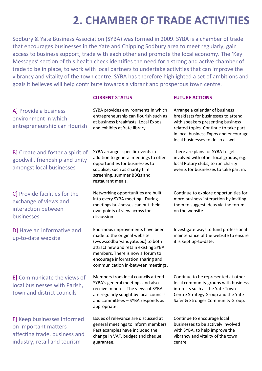## **2. CHAMBER OF TRADE ACTIVITIES**

Sodbury & Yate Business Association (SYBA) was formed in 2009. SYBA is a chamber of trade that encourages businesses in the Yate and Chipping Sodbury area to meet regularly, gain access to business support, trade with each other and promote the local economy. The 'Key Messages' section of this health check identifies the need for a strong and active chamber of trade to be in place, to work with local partners to undertake activities that can improve the vibrancy and vitality of the town centre. SYBA has therefore highlighted a set of ambitions and goals it believes will help contribute towards a vibrant and prosperous town centre.

#### **CURRENT STATUS FUTURE ACTIONS**

A] Provide a business environment in which entrepreneurship can flourish

B] Create and foster a spirit of goodwill, friendship and unity amongst local businesses

C] Provide facilities for the exchange of views and interaction between businesses

DI Have an informative and up‐to‐date website

E] Communicate the views of local businesses with Parish, town and district councils

F] Keep businesses informed on important matters affecting trade, business and industry, retail and tourism

SYBA provides environments in which entrepreneurship can flourish such as at business breakfasts, Local Expos, and exhibits at Yate library.

SYBA arranges specific events in addition to general meetings to offer opportunities for businesses to socialise, such as charity film screening, summer BBQs and restaurant meals.

Networking opportunities are built into every SYBA meeting. During meetings businesses can put their own points of view across for discussion.

Enormous improvements have been made to the original website (www.sodburyandyate.biz) to both attract new and retain existing SYBA members. There is now a forum to encourage information sharing and communication in‐between meetings.

Members from local councils attend SYBA's general meetings and also receive minutes. The views of SYBA are regularly sought by local councils and committees – SYBA responds as appropriate.

Issues of relevance are discussed at general meetings to inform members. Past examples have included the change in VAT, budget and cheque guarantee.

Arrange a calendar of business breakfasts for businesses to attend with speakers presenting business related topics. Continue to take part in local business Expos and encourage local businesses to do so as well.

There are plans for SYBA to get involved with other local groups, e.g. local Rotary clubs, to run charity events for businesses to take part in.

Continue to explore opportunities for more business interaction by inviting them to suggest ideas via the forum on the website.

Investigate ways to fund professional maintenance of the website to ensure it is kept up‐to‐date.

Continue to be represented at other local community groups with business interests such as the Yate Town Centre Strategy Group and the Yate Safer & Stronger Community Group.

Continue to encourage local businesses to be actively involved with SYBA, to help improve the vibrancy and vitality of the town centre.